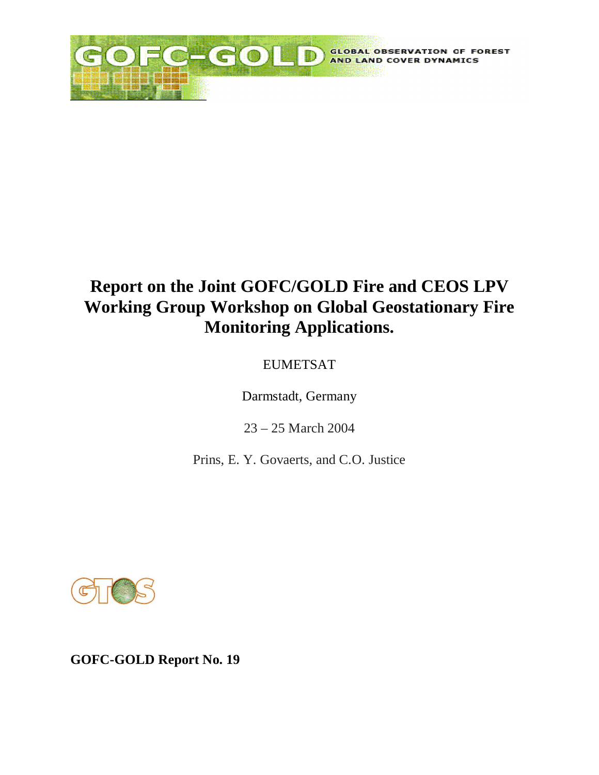

# **Report on the Joint GOFC/GOLD Fire and CEOS LPV Working Group Workshop on Global Geostationary Fire Monitoring Applications.**

## EUMETSAT

Darmstadt, Germany

23 – 25 March 2004

Prins, E. Y. Govaerts, and C.O. Justice



**GOFC-GOLD Report No. 19**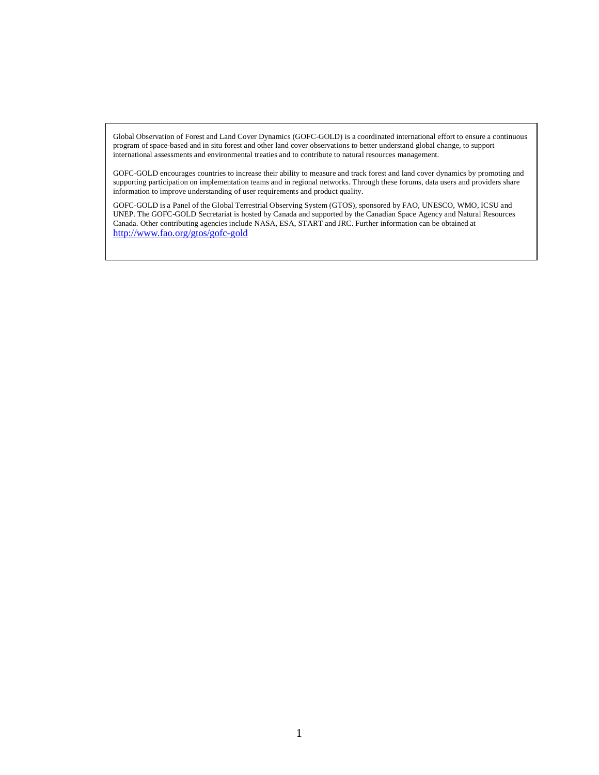Global Observation of Forest and Land Cover Dynamics (GOFC-GOLD) is a coordinated international effort to ensure a continuous program of space-based and in situ forest and other land cover observations to better understand global change, to support international assessments and environmental treaties and to contribute to natural resources management.

GOFC-GOLD encourages countries to increase their ability to measure and track forest and land cover dynamics by promoting and supporting participation on implementation teams and in regional networks. Through these forums, data users and providers share information to improve understanding of user requirements and product quality.

GOFC-GOLD is a Panel of the Global Terrestrial Observing System (GTOS), sponsored by FAO, UNESCO, WMO, ICSU and UNEP. The GOFC-GOLD Secretariat is hosted by Canada and supported by the Canadian Space Agency and Natural Resources Canada. Other contributing agencies include NASA, ESA, START and JRC. Further information can be obtained at <http://www.fao.org/gtos/gofc-gold>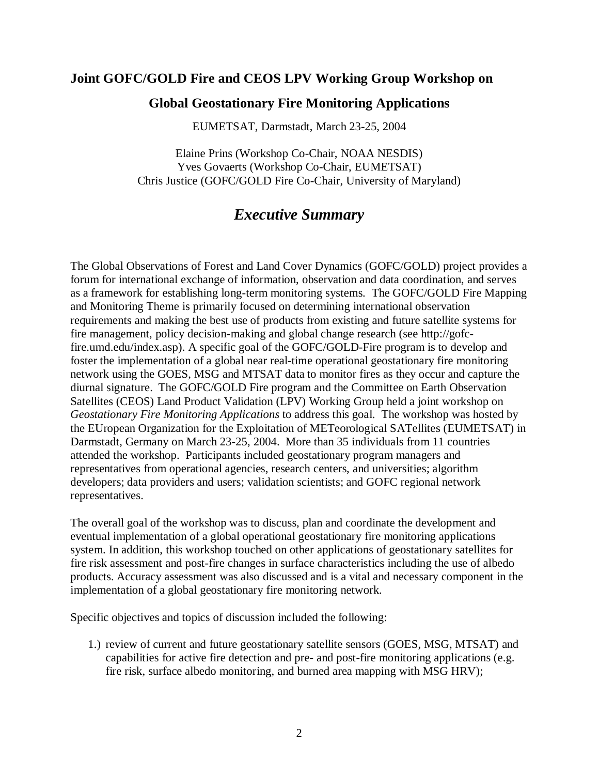## **Joint GOFC/GOLD Fire and CEOS LPV Working Group Workshop on**

### **Global Geostationary Fire Monitoring Applications**

EUMETSAT, Darmstadt, March 23-25, 2004

Elaine Prins (Workshop Co-Chair, NOAA NESDIS) Yves Govaerts (Workshop Co-Chair, EUMETSAT) Chris Justice (GOFC/GOLD Fire Co-Chair, University of Maryland)

## *Executive Summary*

The Global Observations of Forest and Land Cover Dynamics (GOFC/GOLD) project provides a forum for international exchange of information, observation and data coordination, and serves as a framework for establishing long-term monitoring systems. The GOFC/GOLD Fire Mapping and Monitoring Theme is primarily focused on determining international observation requirements and making the best use of products from existing and future satellite systems for fire management, policy decision-making and global change research (see http://gofcfire.umd.edu/index.asp). A specific goal of the GOFC/GOLD-Fire program is to develop and foster the implementation of a global near real-time operational geostationary fire monitoring network using the GOES, MSG and MTSAT data to monitor fires as they occur and capture the diurnal signature. The GOFC/GOLD Fire program and the Committee on Earth Observation Satellites (CEOS) Land Product Validation (LPV) Working Group held a joint workshop on *Geostationary Fire Monitoring Applications* to address this goal. The workshop was hosted by the EUropean Organization for the Exploitation of METeorological SATellites (EUMETSAT) in Darmstadt, Germany on March 23-25, 2004. More than 35 individuals from 11 countries attended the workshop. Participants included geostationary program managers and representatives from operational agencies, research centers, and universities; algorithm developers; data providers and users; validation scientists; and GOFC regional network representatives.

The overall goal of the workshop was to discuss, plan and coordinate the development and eventual implementation of a global operational geostationary fire monitoring applications system. In addition, this workshop touched on other applications of geostationary satellites for fire risk assessment and post-fire changes in surface characteristics including the use of albedo products. Accuracy assessment was also discussed and is a vital and necessary component in the implementation of a global geostationary fire monitoring network.

Specific objectives and topics of discussion included the following:

1.) review of current and future geostationary satellite sensors (GOES, MSG, MTSAT) and capabilities for active fire detection and pre- and post-fire monitoring applications (e.g. fire risk, surface albedo monitoring, and burned area mapping with MSG HRV);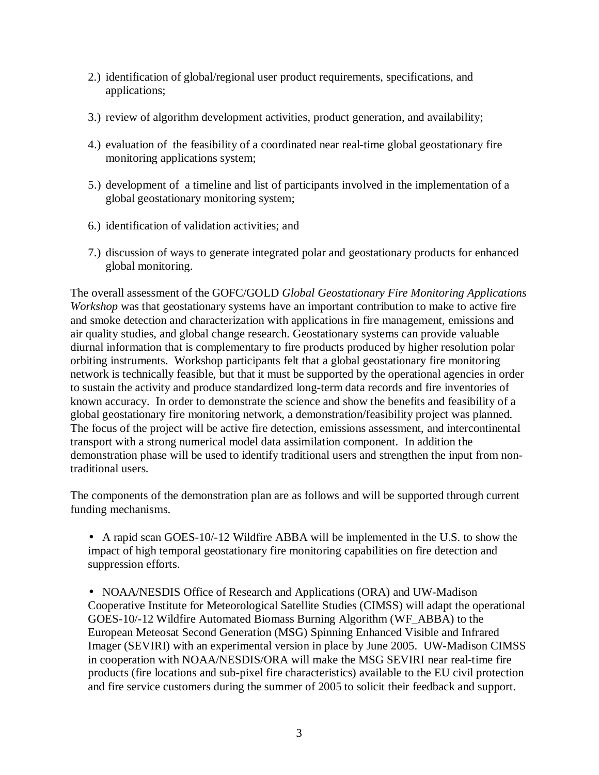- 2.) identification of global/regional user product requirements, specifications, and applications;
- 3.) review of algorithm development activities, product generation, and availability;
- 4.) evaluation of the feasibility of a coordinated near real-time global geostationary fire monitoring applications system;
- 5.) development of a timeline and list of participants involved in the implementation of a global geostationary monitoring system;
- 6.) identification of validation activities; and
- 7.) discussion of ways to generate integrated polar and geostationary products for enhanced global monitoring.

The overall assessment of the GOFC/GOLD *Global Geostationary Fire Monitoring Applications Workshop* was that geostationary systems have an important contribution to make to active fire and smoke detection and characterization with applications in fire management, emissions and air quality studies, and global change research. Geostationary systems can provide valuable diurnal information that is complementary to fire products produced by higher resolution polar orbiting instruments. Workshop participants felt that a global geostationary fire monitoring network is technically feasible, but that it must be supported by the operational agencies in order to sustain the activity and produce standardized long-term data records and fire inventories of known accuracy. In order to demonstrate the science and show the benefits and feasibility of a global geostationary fire monitoring network, a demonstration/feasibility project was planned. The focus of the project will be active fire detection, emissions assessment, and intercontinental transport with a strong numerical model data assimilation component. In addition the demonstration phase will be used to identify traditional users and strengthen the input from nontraditional users.

The components of the demonstration plan are as follows and will be supported through current funding mechanisms.

• A rapid scan GOES-10/-12 Wildfire ABBA will be implemented in the U.S. to show the impact of high temporal geostationary fire monitoring capabilities on fire detection and suppression efforts.

• NOAA/NESDIS Office of Research and Applications (ORA) and UW-Madison Cooperative Institute for Meteorological Satellite Studies (CIMSS) will adapt the operational GOES-10/-12 Wildfire Automated Biomass Burning Algorithm (WF\_ABBA) to the European Meteosat Second Generation (MSG) Spinning Enhanced Visible and Infrared Imager (SEVIRI) with an experimental version in place by June 2005. UW-Madison CIMSS in cooperation with NOAA/NESDIS/ORA will make the MSG SEVIRI near real-time fire products (fire locations and sub-pixel fire characteristics) available to the EU civil protection and fire service customers during the summer of 2005 to solicit their feedback and support.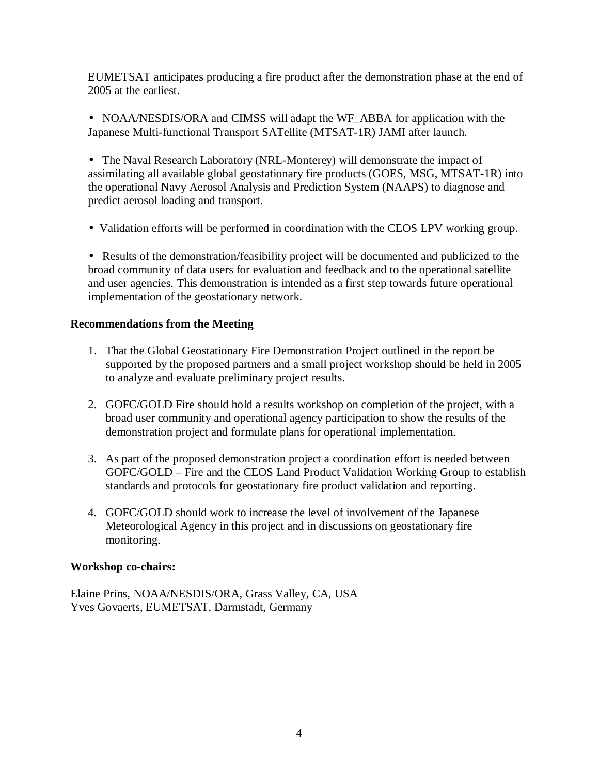EUMETSAT anticipates producing a fire product after the demonstration phase at the end of 2005 at the earliest.

• NOAA/NESDIS/ORA and CIMSS will adapt the WF\_ABBA for application with the Japanese Multi-functional Transport SATellite (MTSAT-1R) JAMI after launch.

• The Naval Research Laboratory (NRL-Monterey) will demonstrate the impact of assimilating all available global geostationary fire products (GOES, MSG, MTSAT-1R) into the operational Navy Aerosol Analysis and Prediction System (NAAPS) to diagnose and predict aerosol loading and transport.

• Validation efforts will be performed in coordination with the CEOS LPV working group.

• Results of the demonstration/feasibility project will be documented and publicized to the broad community of data users for evaluation and feedback and to the operational satellite and user agencies. This demonstration is intended as a first step towards future operational implementation of the geostationary network.

### **Recommendations from the Meeting**

- 1. That the Global Geostationary Fire Demonstration Project outlined in the report be supported by the proposed partners and a small project workshop should be held in 2005 to analyze and evaluate preliminary project results.
- 2. GOFC/GOLD Fire should hold a results workshop on completion of the project, with a broad user community and operational agency participation to show the results of the demonstration project and formulate plans for operational implementation.
- 3. As part of the proposed demonstration project a coordination effort is needed between GOFC/GOLD – Fire and the CEOS Land Product Validation Working Group to establish standards and protocols for geostationary fire product validation and reporting.
- 4. GOFC/GOLD should work to increase the level of involvement of the Japanese Meteorological Agency in this project and in discussions on geostationary fire monitoring.

## **Workshop co-chairs:**

Elaine Prins, NOAA/NESDIS/ORA, Grass Valley, CA, USA Yves Govaerts, EUMETSAT, Darmstadt, Germany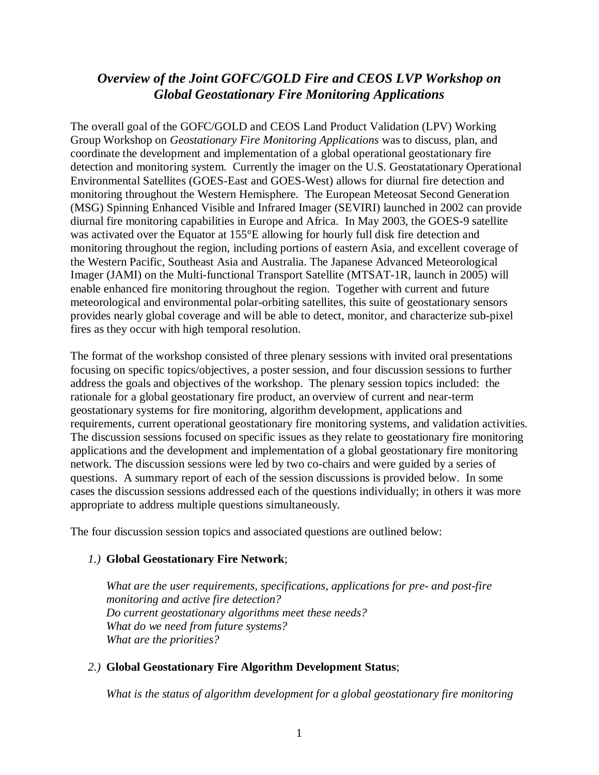## *Overview of the Joint GOFC/GOLD Fire and CEOS LVP Workshop on Global Geostationary Fire Monitoring Applications*

The overall goal of the GOFC/GOLD and CEOS Land Product Validation (LPV) Working Group Workshop on *Geostationary Fire Monitoring Applications* was to discuss, plan, and coordinate the development and implementation of a global operational geostationary fire detection and monitoring system. Currently the imager on the U.S. Geostatationary Operational Environmental Satellites (GOES-East and GOES-West) allows for diurnal fire detection and monitoring throughout the Western Hemisphere. The European Meteosat Second Generation (MSG) Spinning Enhanced Visible and Infrared Imager (SEVIRI) launched in 2002 can provide diurnal fire monitoring capabilities in Europe and Africa. In May 2003, the GOES-9 satellite was activated over the Equator at 155°E allowing for hourly full disk fire detection and monitoring throughout the region, including portions of eastern Asia, and excellent coverage of the Western Pacific, Southeast Asia and Australia. The Japanese Advanced Meteorological Imager (JAMI) on the Multi-functional Transport Satellite (MTSAT-1R, launch in 2005) will enable enhanced fire monitoring throughout the region. Together with current and future meteorological and environmental polar-orbiting satellites, this suite of geostationary sensors provides nearly global coverage and will be able to detect, monitor, and characterize sub-pixel fires as they occur with high temporal resolution.

The format of the workshop consisted of three plenary sessions with invited oral presentations focusing on specific topics/objectives, a poster session, and four discussion sessions to further address the goals and objectives of the workshop. The plenary session topics included: the rationale for a global geostationary fire product, an overview of current and near-term geostationary systems for fire monitoring, algorithm development, applications and requirements, current operational geostationary fire monitoring systems, and validation activities. The discussion sessions focused on specific issues as they relate to geostationary fire monitoring applications and the development and implementation of a global geostationary fire monitoring network. The discussion sessions were led by two co-chairs and were guided by a series of questions. A summary report of each of the session discussions is provided below. In some cases the discussion sessions addressed each of the questions individually; in others it was more appropriate to address multiple questions simultaneously.

The four discussion session topics and associated questions are outlined below:

#### *1.)* **Global Geostationary Fire Network**;

*What are the user requirements, specifications, applications for pre- and post-fire monitoring and active fire detection? Do current geostationary algorithms meet these needs? What do we need from future systems? What are the priorities?*

## *2.)* **Global Geostationary Fire Algorithm Development Status**;

*What is the status of algorithm development for a global geostationary fire monitoring*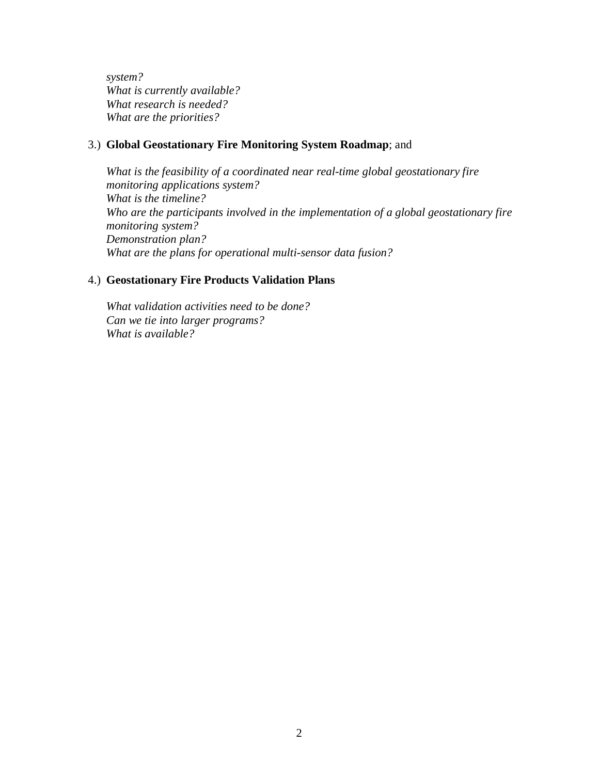*system? What is currently available? What research is needed? What are the priorities?*

#### 3.) **Global Geostationary Fire Monitoring System Roadmap**; and

*What is the feasibility of a coordinated near real-time global geostationary fire monitoring applications system? What is the timeline? Who are the participants involved in the implementation of a global geostationary fire monitoring system? Demonstration plan? What are the plans for operational multi-sensor data fusion?*

#### 4.) **Geostationary Fire Products Validation Plans**

*What validation activities need to be done? Can we tie into larger programs? What is available?*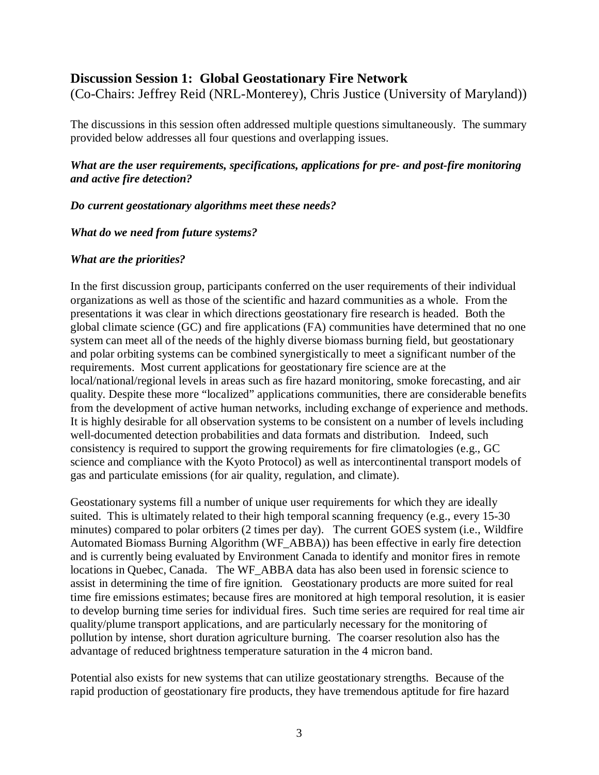## **Discussion Session 1: Global Geostationary Fire Network**

(Co-Chairs: Jeffrey Reid (NRL-Monterey), Chris Justice (University of Maryland))

The discussions in this session often addressed multiple questions simultaneously. The summary provided below addresses all four questions and overlapping issues.

## *What are the user requirements, specifications, applications for pre- and post-fire monitoring and active fire detection?*

*Do current geostationary algorithms meet these needs?*

*What do we need from future systems?*

#### *What are the priorities?*

In the first discussion group, participants conferred on the user requirements of their individual organizations as well as those of the scientific and hazard communities as a whole. From the presentations it was clear in which directions geostationary fire research is headed. Both the global climate science (GC) and fire applications (FA) communities have determined that no one system can meet all of the needs of the highly diverse biomass burning field, but geostationary and polar orbiting systems can be combined synergistically to meet a significant number of the requirements. Most current applications for geostationary fire science are at the local/national/regional levels in areas such as fire hazard monitoring, smoke forecasting, and air quality. Despite these more "localized" applications communities, there are considerable benefits from the development of active human networks, including exchange of experience and methods. It is highly desirable for all observation systems to be consistent on a number of levels including well-documented detection probabilities and data formats and distribution. Indeed, such consistency is required to support the growing requirements for fire climatologies (e.g., GC science and compliance with the Kyoto Protocol) as well as intercontinental transport models of gas and particulate emissions (for air quality, regulation, and climate).

Geostationary systems fill a number of unique user requirements for which they are ideally suited. This is ultimately related to their high temporal scanning frequency (e.g., every 15-30 minutes) compared to polar orbiters (2 times per day). The current GOES system (i.e., Wildfire Automated Biomass Burning Algorithm (WF\_ABBA)) has been effective in early fire detection and is currently being evaluated by Environment Canada to identify and monitor fires in remote locations in Quebec, Canada. The WF\_ABBA data has also been used in forensic science to assist in determining the time of fire ignition. Geostationary products are more suited for real time fire emissions estimates; because fires are monitored at high temporal resolution, it is easier to develop burning time series for individual fires. Such time series are required for real time air quality/plume transport applications, and are particularly necessary for the monitoring of pollution by intense, short duration agriculture burning. The coarser resolution also has the advantage of reduced brightness temperature saturation in the 4 micron band.

Potential also exists for new systems that can utilize geostationary strengths. Because of the rapid production of geostationary fire products, they have tremendous aptitude for fire hazard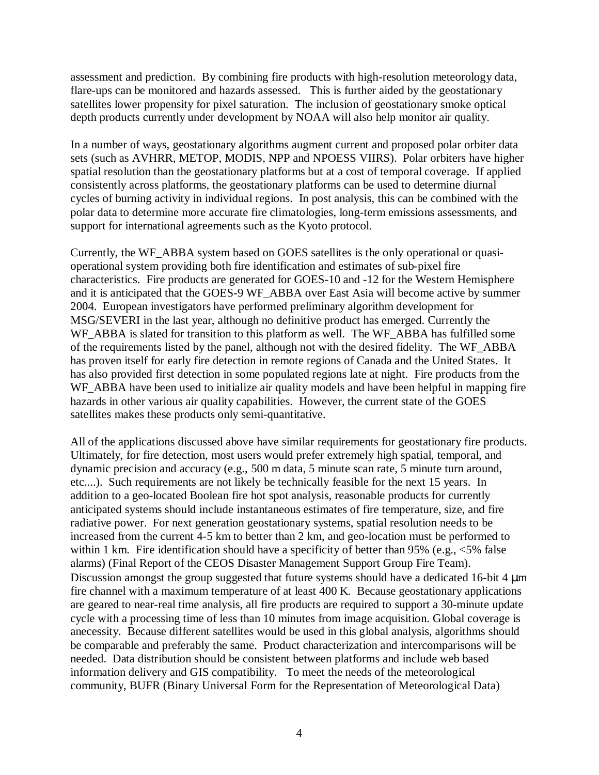assessment and prediction. By combining fire products with high-resolution meteorology data, flare-ups can be monitored and hazards assessed. This is further aided by the geostationary satellites lower propensity for pixel saturation. The inclusion of geostationary smoke optical depth products currently under development by NOAA will also help monitor air quality.

In a number of ways, geostationary algorithms augment current and proposed polar orbiter data sets (such as AVHRR, METOP, MODIS, NPP and NPOESS VIIRS). Polar orbiters have higher spatial resolution than the geostationary platforms but at a cost of temporal coverage. If applied consistently across platforms, the geostationary platforms can be used to determine diurnal cycles of burning activity in individual regions. In post analysis, this can be combined with the polar data to determine more accurate fire climatologies, long-term emissions assessments, and support for international agreements such as the Kyoto protocol.

Currently, the WF\_ABBA system based on GOES satellites is the only operational or quasioperational system providing both fire identification and estimates of sub-pixel fire characteristics. Fire products are generated for GOES-10 and -12 for the Western Hemisphere and it is anticipated that the GOES-9 WF\_ABBA over East Asia will become active by summer 2004. European investigators have performed preliminary algorithm development for MSG/SEVERI in the last year, although no definitive product has emerged. Currently the WF\_ABBA is slated for transition to this platform as well. The WF\_ABBA has fulfilled some of the requirements listed by the panel, although not with the desired fidelity. The WF\_ABBA has proven itself for early fire detection in remote regions of Canada and the United States. It has also provided first detection in some populated regions late at night. Fire products from the WF\_ABBA have been used to initialize air quality models and have been helpful in mapping fire hazards in other various air quality capabilities. However, the current state of the GOES satellites makes these products only semi-quantitative.

All of the applications discussed above have similar requirements for geostationary fire products. Ultimately, for fire detection, most users would prefer extremely high spatial, temporal, and dynamic precision and accuracy (e.g., 500 m data, 5 minute scan rate, 5 minute turn around, etc....). Such requirements are not likely be technically feasible for the next 15 years. In addition to a geo-located Boolean fire hot spot analysis, reasonable products for currently anticipated systems should include instantaneous estimates of fire temperature, size, and fire radiative power. For next generation geostationary systems, spatial resolution needs to be increased from the current 4-5 km to better than 2 km, and geo-location must be performed to within 1 km. Fire identification should have a specificity of better than 95% (e.g.,  $\leq$ 5% false alarms) (Final Report of the CEOS Disaster Management Support Group Fire Team). Discussion amongst the group suggested that future systems should have a dedicated 16-bit 4 μm fire channel with a maximum temperature of at least 400 K. Because geostationary applications are geared to near-real time analysis, all fire products are required to support a 30-minute update cycle with a processing time of less than 10 minutes from image acquisition. Global coverage is anecessity. Because different satellites would be used in this global analysis, algorithms should be comparable and preferably the same. Product characterization and intercomparisons will be needed. Data distribution should be consistent between platforms and include web based information delivery and GIS compatibility. To meet the needs of the meteorological community, BUFR (Binary Universal Form for the Representation of Meteorological Data)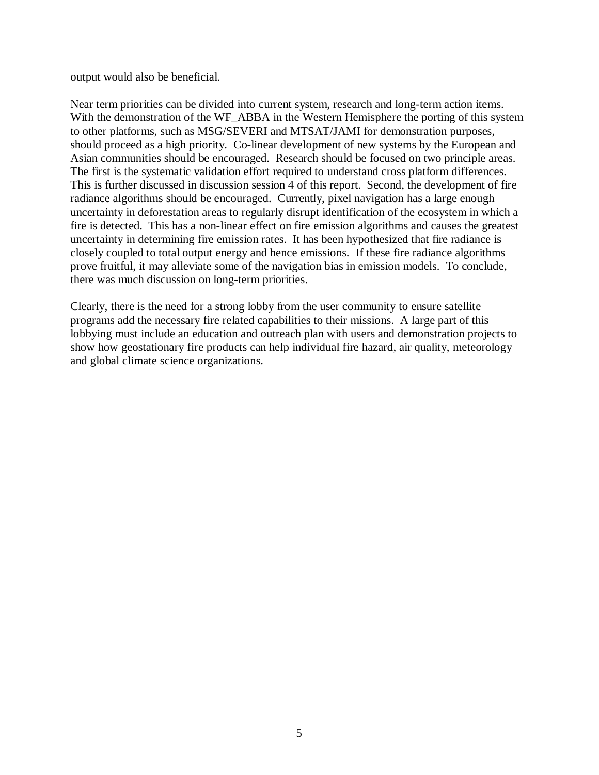output would also be beneficial.

Near term priorities can be divided into current system, research and long-term action items. With the demonstration of the WF\_ABBA in the Western Hemisphere the porting of this system to other platforms, such as MSG/SEVERI and MTSAT/JAMI for demonstration purposes, should proceed as a high priority. Co-linear development of new systems by the European and Asian communities should be encouraged. Research should be focused on two principle areas. The first is the systematic validation effort required to understand cross platform differences. This is further discussed in discussion session 4 of this report. Second, the development of fire radiance algorithms should be encouraged. Currently, pixel navigation has a large enough uncertainty in deforestation areas to regularly disrupt identification of the ecosystem in which a fire is detected. This has a non-linear effect on fire emission algorithms and causes the greatest uncertainty in determining fire emission rates. It has been hypothesized that fire radiance is closely coupled to total output energy and hence emissions. If these fire radiance algorithms prove fruitful, it may alleviate some of the navigation bias in emission models. To conclude, there was much discussion on long-term priorities.

Clearly, there is the need for a strong lobby from the user community to ensure satellite programs add the necessary fire related capabilities to their missions. A large part of this lobbying must include an education and outreach plan with users and demonstration projects to show how geostationary fire products can help individual fire hazard, air quality, meteorology and global climate science organizations.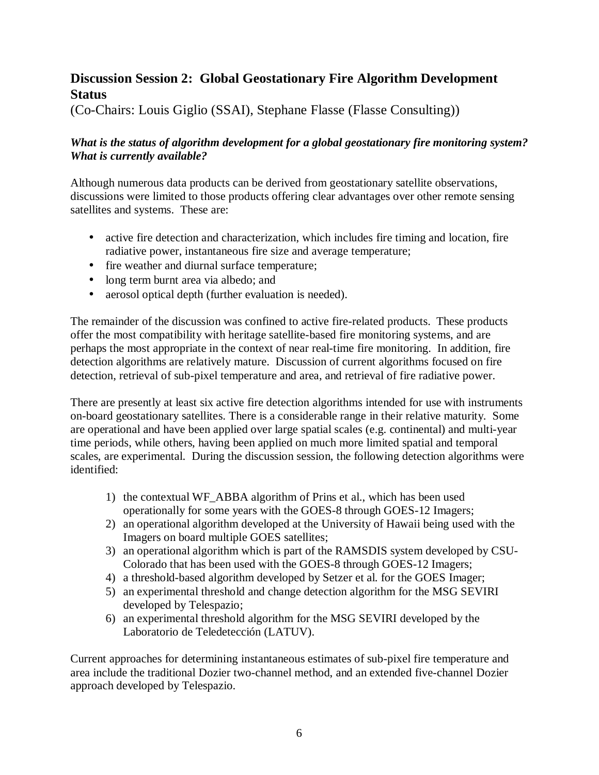## **Discussion Session 2: Global Geostationary Fire Algorithm Development Status**

(Co-Chairs: Louis Giglio (SSAI), Stephane Flasse (Flasse Consulting))

## *What is the status of algorithm development for a global geostationary fire monitoring system? What is currently available?*

Although numerous data products can be derived from geostationary satellite observations, discussions were limited to those products offering clear advantages over other remote sensing satellites and systems. These are:

- active fire detection and characterization, which includes fire timing and location, fire radiative power, instantaneous fire size and average temperature;
- fire weather and diurnal surface temperature;
- long term burnt area via albedo; and
- aerosol optical depth (further evaluation is needed).

The remainder of the discussion was confined to active fire-related products. These products offer the most compatibility with heritage satellite-based fire monitoring systems, and are perhaps the most appropriate in the context of near real-time fire monitoring. In addition, fire detection algorithms are relatively mature. Discussion of current algorithms focused on fire detection, retrieval of sub-pixel temperature and area, and retrieval of fire radiative power.

There are presently at least six active fire detection algorithms intended for use with instruments on-board geostationary satellites. There is a considerable range in their relative maturity. Some are operational and have been applied over large spatial scales (e.g. continental) and multi-year time periods, while others, having been applied on much more limited spatial and temporal scales, are experimental. During the discussion session, the following detection algorithms were identified:

- 1) the contextual WF\_ABBA algorithm of Prins et al., which has been used operationally for some years with the GOES-8 through GOES-12 Imagers;
- 2) an operational algorithm developed at the University of Hawaii being used with the Imagers on board multiple GOES satellites;
- 3) an operational algorithm which is part of the RAMSDIS system developed by CSU-Colorado that has been used with the GOES-8 through GOES-12 Imagers;
- 4) a threshold-based algorithm developed by Setzer et al. for the GOES Imager;
- 5) an experimental threshold and change detection algorithm for the MSG SEVIRI developed by Telespazio;
- 6) an experimental threshold algorithm for the MSG SEVIRI developed by the Laboratorio de Teledetección (LATUV).

Current approaches for determining instantaneous estimates of sub-pixel fire temperature and area include the traditional Dozier two-channel method, and an extended five-channel Dozier approach developed by Telespazio.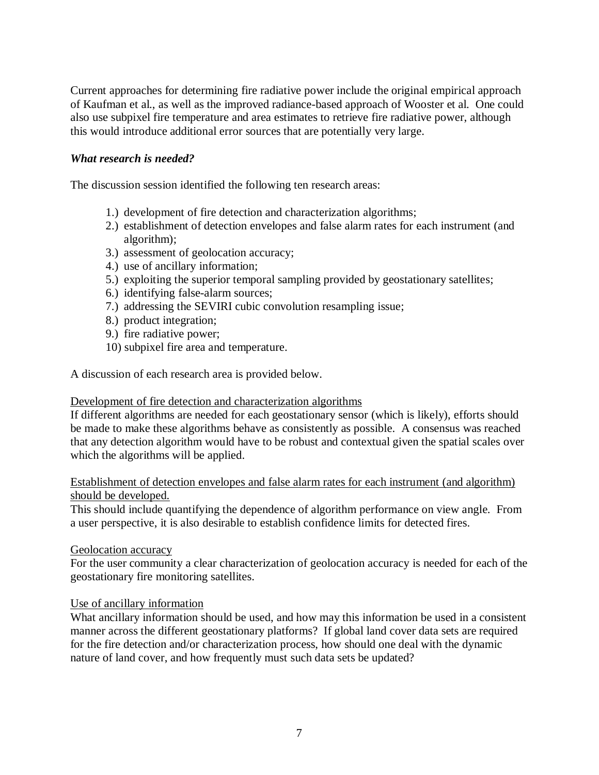Current approaches for determining fire radiative power include the original empirical approach of Kaufman et al., as well as the improved radiance-based approach of Wooster et al. One could also use subpixel fire temperature and area estimates to retrieve fire radiative power, although this would introduce additional error sources that are potentially very large.

#### *What research is needed?*

The discussion session identified the following ten research areas:

- 1.) development of fire detection and characterization algorithms;
- 2.) establishment of detection envelopes and false alarm rates for each instrument (and algorithm);
- 3.) assessment of geolocation accuracy;
- 4.) use of ancillary information;
- 5.) exploiting the superior temporal sampling provided by geostationary satellites;
- 6.) identifying false-alarm sources;
- 7.) addressing the SEVIRI cubic convolution resampling issue;
- 8.) product integration;
- 9.) fire radiative power;
- 10) subpixel fire area and temperature.

A discussion of each research area is provided below.

#### Development of fire detection and characterization algorithms

If different algorithms are needed for each geostationary sensor (which is likely), efforts should be made to make these algorithms behave as consistently as possible. A consensus was reached that any detection algorithm would have to be robust and contextual given the spatial scales over which the algorithms will be applied.

### Establishment of detection envelopes and false alarm rates for each instrument (and algorithm) should be developed.

This should include quantifying the dependence of algorithm performance on view angle. From a user perspective, it is also desirable to establish confidence limits for detected fires.

#### Geolocation accuracy

For the user community a clear characterization of geolocation accuracy is needed for each of the geostationary fire monitoring satellites.

#### Use of ancillary information

What ancillary information should be used, and how may this information be used in a consistent manner across the different geostationary platforms? If global land cover data sets are required for the fire detection and/or characterization process, how should one deal with the dynamic nature of land cover, and how frequently must such data sets be updated?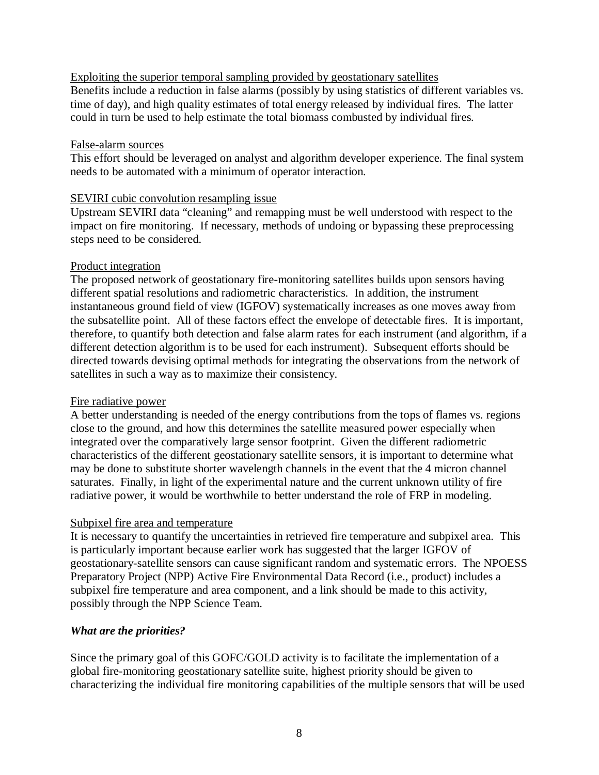Exploiting the superior temporal sampling provided by geostationary satellites Benefits include a reduction in false alarms (possibly by using statistics of different variables vs. time of day), and high quality estimates of total energy released by individual fires. The latter could in turn be used to help estimate the total biomass combusted by individual fires.

#### False-alarm sources

This effort should be leveraged on analyst and algorithm developer experience. The final system needs to be automated with a minimum of operator interaction.

### SEVIRI cubic convolution resampling issue

Upstream SEVIRI data "cleaning" and remapping must be well understood with respect to the impact on fire monitoring. If necessary, methods of undoing or bypassing these preprocessing steps need to be considered.

### Product integration

The proposed network of geostationary fire-monitoring satellites builds upon sensors having different spatial resolutions and radiometric characteristics. In addition, the instrument instantaneous ground field of view (IGFOV) systematically increases as one moves away from the subsatellite point. All of these factors effect the envelope of detectable fires. It is important, therefore, to quantify both detection and false alarm rates for each instrument (and algorithm, if a different detection algorithm is to be used for each instrument). Subsequent efforts should be directed towards devising optimal methods for integrating the observations from the network of satellites in such a way as to maximize their consistency.

## Fire radiative power

A better understanding is needed of the energy contributions from the tops of flames vs. regions close to the ground, and how this determines the satellite measured power especially when integrated over the comparatively large sensor footprint. Given the different radiometric characteristics of the different geostationary satellite sensors, it is important to determine what may be done to substitute shorter wavelength channels in the event that the 4 micron channel saturates. Finally, in light of the experimental nature and the current unknown utility of fire radiative power, it would be worthwhile to better understand the role of FRP in modeling.

## Subpixel fire area and temperature

It is necessary to quantify the uncertainties in retrieved fire temperature and subpixel area. This is particularly important because earlier work has suggested that the larger IGFOV of geostationary-satellite sensors can cause significant random and systematic errors. The NPOESS Preparatory Project (NPP) Active Fire Environmental Data Record (i.e., product) includes a subpixel fire temperature and area component, and a link should be made to this activity, possibly through the NPP Science Team.

## *What are the priorities?*

Since the primary goal of this GOFC/GOLD activity is to facilitate the implementation of a global fire-monitoring geostationary satellite suite, highest priority should be given to characterizing the individual fire monitoring capabilities of the multiple sensors that will be used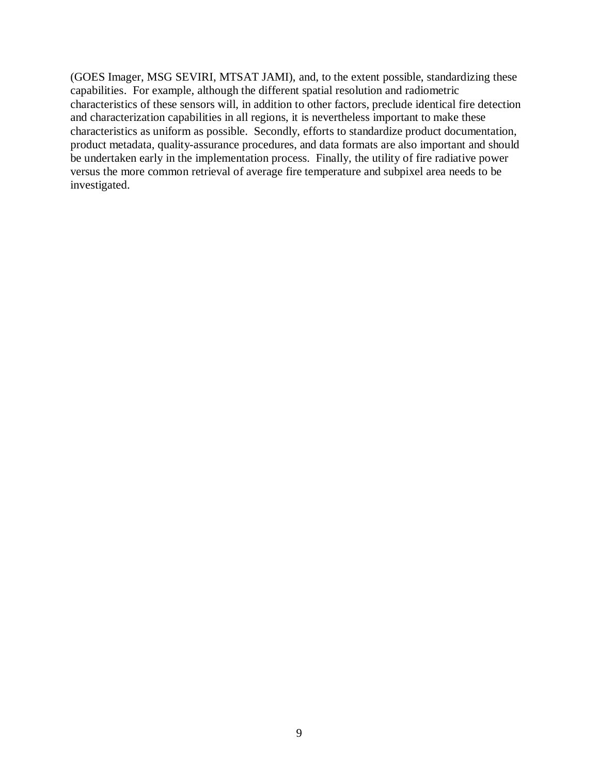(GOES Imager, MSG SEVIRI, MTSAT JAMI), and, to the extent possible, standardizing these capabilities. For example, although the different spatial resolution and radiometric characteristics of these sensors will, in addition to other factors, preclude identical fire detection and characterization capabilities in all regions, it is nevertheless important to make these characteristics as uniform as possible. Secondly, efforts to standardize product documentation, product metadata, quality-assurance procedures, and data formats are also important and should be undertaken early in the implementation process. Finally, the utility of fire radiative power versus the more common retrieval of average fire temperature and subpixel area needs to be investigated.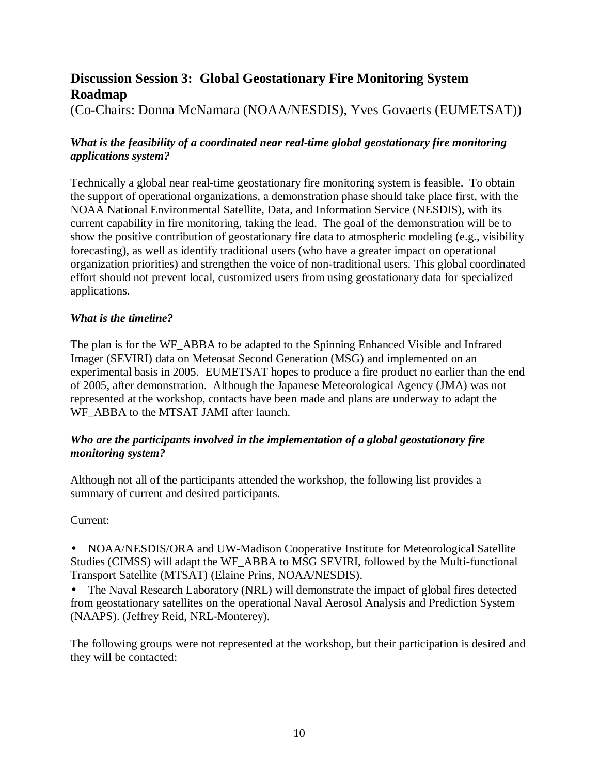## **Discussion Session 3: Global Geostationary Fire Monitoring System Roadmap**

(Co-Chairs: Donna McNamara (NOAA/NESDIS), Yves Govaerts (EUMETSAT))

## *What is the feasibility of a coordinated near real-time global geostationary fire monitoring applications system?*

Technically a global near real-time geostationary fire monitoring system is feasible. To obtain the support of operational organizations, a demonstration phase should take place first, with the NOAA National Environmental Satellite, Data, and Information Service (NESDIS), with its current capability in fire monitoring, taking the lead. The goal of the demonstration will be to show the positive contribution of geostationary fire data to atmospheric modeling (e.g., visibility forecasting), as well as identify traditional users (who have a greater impact on operational organization priorities) and strengthen the voice of non-traditional users. This global coordinated effort should not prevent local, customized users from using geostationary data for specialized applications.

## *What is the timeline?*

The plan is for the WF\_ABBA to be adapted to the Spinning Enhanced Visible and Infrared Imager (SEVIRI) data on Meteosat Second Generation (MSG) and implemented on an experimental basis in 2005. EUMETSAT hopes to produce a fire product no earlier than the end of 2005, after demonstration. Although the Japanese Meteorological Agency (JMA) was not represented at the workshop, contacts have been made and plans are underway to adapt the WF\_ABBA to the MTSAT JAMI after launch.

## *Who are the participants involved in the implementation of a global geostationary fire monitoring system?*

Although not all of the participants attended the workshop, the following list provides a summary of current and desired participants.

Current:

• NOAA/NESDIS/ORA and UW-Madison Cooperative Institute for Meteorological Satellite Studies (CIMSS) will adapt the WF\_ABBA to MSG SEVIRI, followed by the Multi-functional Transport Satellite (MTSAT) (Elaine Prins, NOAA/NESDIS).

• The Naval Research Laboratory (NRL) will demonstrate the impact of global fires detected from geostationary satellites on the operational Naval Aerosol Analysis and Prediction System (NAAPS). (Jeffrey Reid, NRL-Monterey).

The following groups were not represented at the workshop, but their participation is desired and they will be contacted: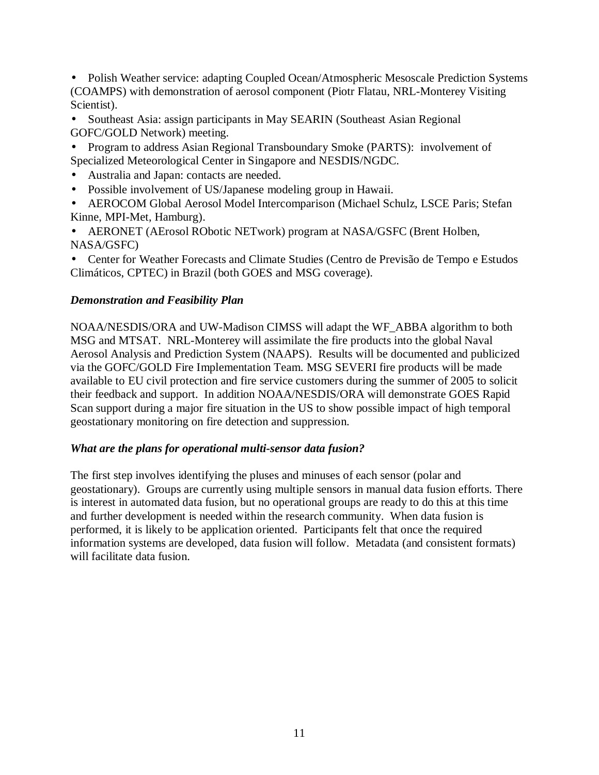• Polish Weather service: adapting Coupled Ocean/Atmospheric Mesoscale Prediction Systems (COAMPS) with demonstration of aerosol component (Piotr Flatau, NRL-Monterey Visiting Scientist).

- Southeast Asia: assign participants in May SEARIN (Southeast Asian Regional GOFC/GOLD Network) meeting.
- Program to address Asian Regional Transboundary Smoke (PARTS): involvement of Specialized Meteorological Center in Singapore and NESDIS/NGDC.
- Australia and Japan: contacts are needed.
- Possible involvement of US/Japanese modeling group in Hawaii.
- AEROCOM Global Aerosol Model Intercomparison (Michael Schulz, LSCE Paris; Stefan Kinne, MPI-Met, Hamburg).
- AERONET (AErosol RObotic NETwork) program at NASA/GSFC (Brent Holben, NASA/GSFC)
- Center for Weather Forecasts and Climate Studies (Centro de Previsão de Tempo e Estudos Climáticos, CPTEC) in Brazil (both GOES and MSG coverage).

## *Demonstration and Feasibility Plan*

NOAA/NESDIS/ORA and UW-Madison CIMSS will adapt the WF\_ABBA algorithm to both MSG and MTSAT. NRL-Monterey will assimilate the fire products into the global Naval Aerosol Analysis and Prediction System (NAAPS). Results will be documented and publicized via the GOFC/GOLD Fire Implementation Team. MSG SEVERI fire products will be made available to EU civil protection and fire service customers during the summer of 2005 to solicit their feedback and support. In addition NOAA/NESDIS/ORA will demonstrate GOES Rapid Scan support during a major fire situation in the US to show possible impact of high temporal geostationary monitoring on fire detection and suppression.

## *What are the plans for operational multi-sensor data fusion?*

The first step involves identifying the pluses and minuses of each sensor (polar and geostationary). Groups are currently using multiple sensors in manual data fusion efforts. There is interest in automated data fusion, but no operational groups are ready to do this at this time and further development is needed within the research community. When data fusion is performed, it is likely to be application oriented. Participants felt that once the required information systems are developed, data fusion will follow. Metadata (and consistent formats) will facilitate data fusion.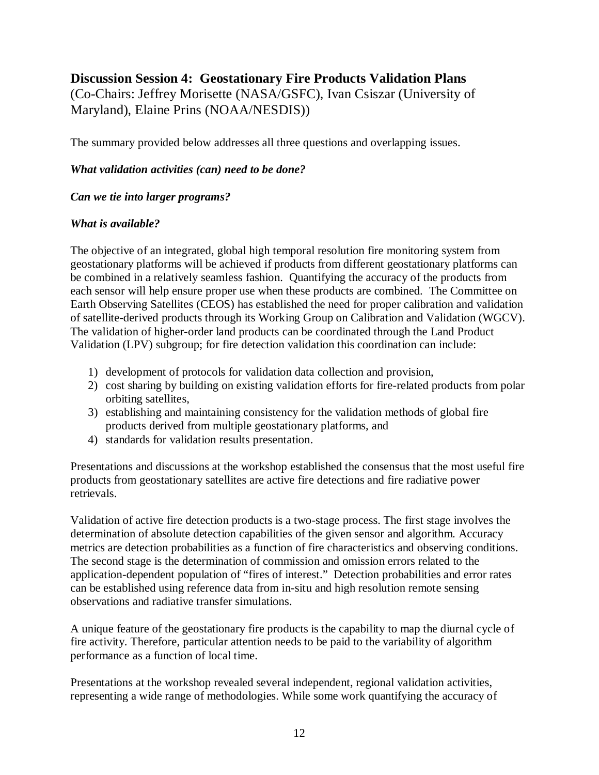## **Discussion Session 4: Geostationary Fire Products Validation Plans**

(Co-Chairs: Jeffrey Morisette (NASA/GSFC), Ivan Csiszar (University of Maryland), Elaine Prins (NOAA/NESDIS))

The summary provided below addresses all three questions and overlapping issues.

### *What validation activities (can) need to be done?*

#### *Can we tie into larger programs?*

### *What is available?*

The objective of an integrated, global high temporal resolution fire monitoring system from geostationary platforms will be achieved if products from different geostationary platforms can be combined in a relatively seamless fashion. Quantifying the accuracy of the products from each sensor will help ensure proper use when these products are combined. The Committee on Earth Observing Satellites (CEOS) has established the need for proper calibration and validation of satellite-derived products through its Working Group on Calibration and Validation (WGCV). The validation of higher-order land products can be coordinated through the Land Product Validation (LPV) subgroup; for fire detection validation this coordination can include:

- 1) development of protocols for validation data collection and provision,
- 2) cost sharing by building on existing validation efforts for fire-related products from polar orbiting satellites,
- 3) establishing and maintaining consistency for the validation methods of global fire products derived from multiple geostationary platforms, and
- 4) standards for validation results presentation.

Presentations and discussions at the workshop established the consensus that the most useful fire products from geostationary satellites are active fire detections and fire radiative power retrievals.

Validation of active fire detection products is a two-stage process. The first stage involves the determination of absolute detection capabilities of the given sensor and algorithm. Accuracy metrics are detection probabilities as a function of fire characteristics and observing conditions. The second stage is the determination of commission and omission errors related to the application-dependent population of "fires of interest." Detection probabilities and error rates can be established using reference data from in-situ and high resolution remote sensing observations and radiative transfer simulations.

A unique feature of the geostationary fire products is the capability to map the diurnal cycle of fire activity. Therefore, particular attention needs to be paid to the variability of algorithm performance as a function of local time.

Presentations at the workshop revealed several independent, regional validation activities, representing a wide range of methodologies. While some work quantifying the accuracy of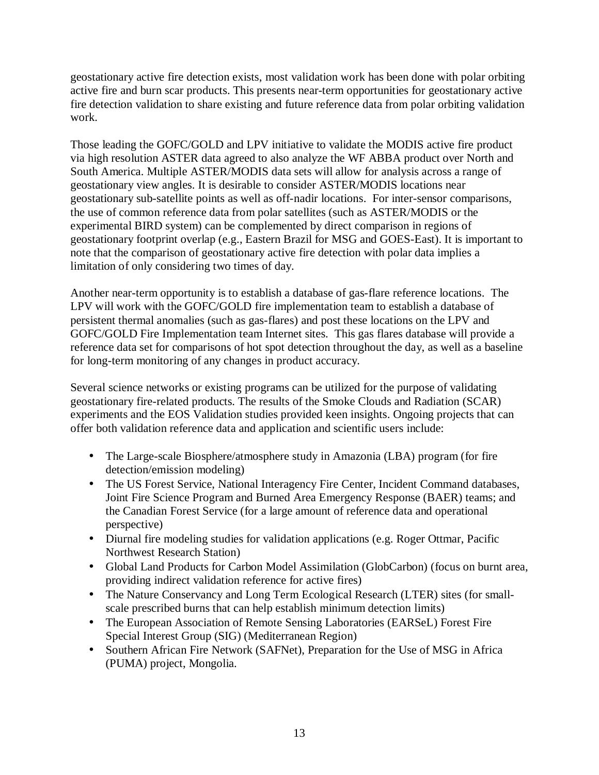geostationary active fire detection exists, most validation work has been done with polar orbiting active fire and burn scar products. This presents near-term opportunities for geostationary active fire detection validation to share existing and future reference data from polar orbiting validation work.

Those leading the GOFC/GOLD and LPV initiative to validate the MODIS active fire product via high resolution ASTER data agreed to also analyze the WF ABBA product over North and South America. Multiple ASTER/MODIS data sets will allow for analysis across a range of geostationary view angles. It is desirable to consider ASTER/MODIS locations near geostationary sub-satellite points as well as off-nadir locations. For inter-sensor comparisons, the use of common reference data from polar satellites (such as ASTER/MODIS or the experimental BIRD system) can be complemented by direct comparison in regions of geostationary footprint overlap (e.g., Eastern Brazil for MSG and GOES-East). It is important to note that the comparison of geostationary active fire detection with polar data implies a limitation of only considering two times of day.

Another near-term opportunity is to establish a database of gas-flare reference locations. The LPV will work with the GOFC/GOLD fire implementation team to establish a database of persistent thermal anomalies (such as gas-flares) and post these locations on the LPV and GOFC/GOLD Fire Implementation team Internet sites. This gas flares database will provide a reference data set for comparisons of hot spot detection throughout the day, as well as a baseline for long-term monitoring of any changes in product accuracy.

Several science networks or existing programs can be utilized for the purpose of validating geostationary fire-related products. The results of the Smoke Clouds and Radiation (SCAR) experiments and the EOS Validation studies provided keen insights. Ongoing projects that can offer both validation reference data and application and scientific users include:

- The Large-scale Biosphere/atmosphere study in Amazonia (LBA) program (for fire detection/emission modeling)
- The US Forest Service, National Interagency Fire Center, Incident Command databases, Joint Fire Science Program and Burned Area Emergency Response (BAER) teams; and the Canadian Forest Service (for a large amount of reference data and operational perspective)
- Diurnal fire modeling studies for validation applications (e.g. Roger Ottmar, Pacific Northwest Research Station)
- Global Land Products for Carbon Model Assimilation (GlobCarbon) (focus on burnt area, providing indirect validation reference for active fires)
- The Nature Conservancy and Long Term Ecological Research (LTER) sites (for smallscale prescribed burns that can help establish minimum detection limits)
- The European Association of Remote Sensing Laboratories (EARSeL) Forest Fire Special Interest Group (SIG) (Mediterranean Region)
- Southern African Fire Network (SAFNet), Preparation for the Use of MSG in Africa (PUMA) project, Mongolia.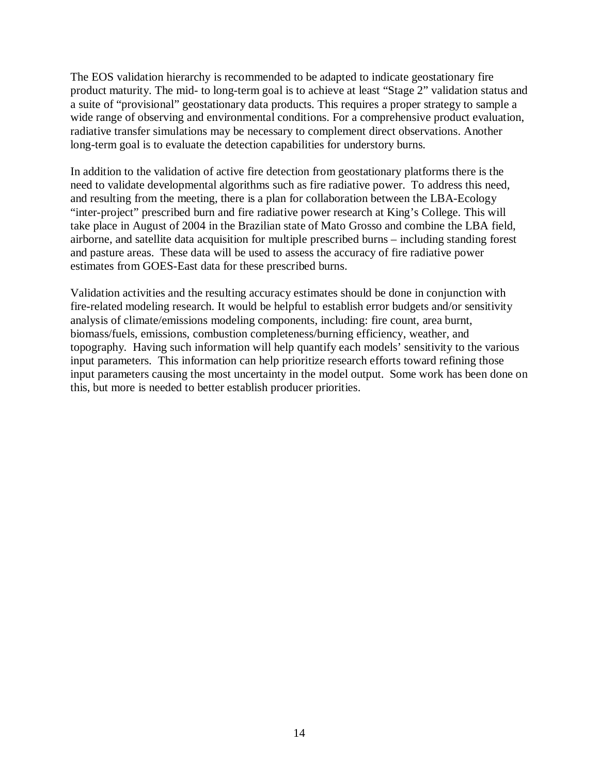The EOS validation hierarchy is recommended to be adapted to indicate geostationary fire product maturity. The mid- to long-term goal is to achieve at least "Stage 2" validation status and a suite of "provisional" geostationary data products. This requires a proper strategy to sample a wide range of observing and environmental conditions. For a comprehensive product evaluation, radiative transfer simulations may be necessary to complement direct observations. Another long-term goal is to evaluate the detection capabilities for understory burns.

In addition to the validation of active fire detection from geostationary platforms there is the need to validate developmental algorithms such as fire radiative power. To address this need, and resulting from the meeting, there is a plan for collaboration between the LBA-Ecology "inter-project" prescribed burn and fire radiative power research at King's College. This will take place in August of 2004 in the Brazilian state of Mato Grosso and combine the LBA field, airborne, and satellite data acquisition for multiple prescribed burns – including standing forest and pasture areas. These data will be used to assess the accuracy of fire radiative power estimates from GOES-East data for these prescribed burns.

Validation activities and the resulting accuracy estimates should be done in conjunction with fire-related modeling research. It would be helpful to establish error budgets and/or sensitivity analysis of climate/emissions modeling components, including: fire count, area burnt, biomass/fuels, emissions, combustion completeness/burning efficiency, weather, and topography. Having such information will help quantify each models' sensitivity to the various input parameters. This information can help prioritize research efforts toward refining those input parameters causing the most uncertainty in the model output. Some work has been done on this, but more is needed to better establish producer priorities.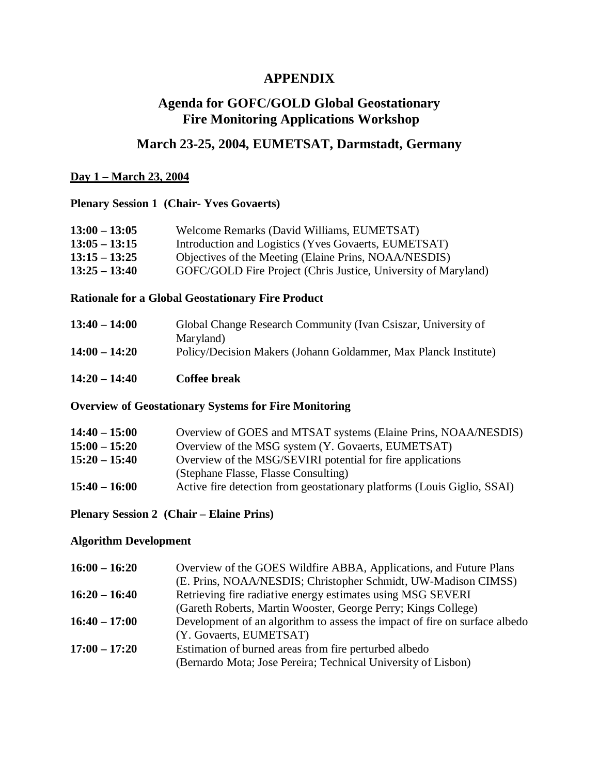## **APPENDIX**

## **Agenda for GOFC/GOLD Global Geostationary Fire Monitoring Applications Workshop**

## **March 23-25, 2004, EUMETSAT, Darmstadt, Germany**

#### **Day 1 – March 23, 2004**

### **Plenary Session 1 (Chair- Yves Govaerts)**

| $13:00 - 13:05$ | Welcome Remarks (David Williams, EUMETSAT)                     |
|-----------------|----------------------------------------------------------------|
| $13:05 - 13:15$ | Introduction and Logistics (Yves Govaerts, EUMETSAT)           |
| $13:15 - 13:25$ | Objectives of the Meeting (Elaine Prins, NOAA/NESDIS)          |
| $13:25 - 13:40$ | GOFC/GOLD Fire Project (Chris Justice, University of Maryland) |

#### **Rationale for a Global Geostationary Fire Product**

| $13:40 - 14:00$ | Global Change Research Community (Ivan Csiszar, University of   |
|-----------------|-----------------------------------------------------------------|
|                 | Maryland)                                                       |
| $14:00 - 14:20$ | Policy/Decision Makers (Johann Goldammer, Max Planck Institute) |

**14:20 – 14:40 Coffee break**

#### **Overview of Geostationary Systems for Fire Monitoring**

| $14:40 - 15:00$ | Overview of GOES and MTSAT systems (Elaine Prins, NOAA/NESDIS)          |
|-----------------|-------------------------------------------------------------------------|
| $15:00 - 15:20$ | Overview of the MSG system (Y. Govaerts, EUMETSAT)                      |
| $15:20 - 15:40$ | Overview of the MSG/SEVIRI potential for fire applications              |
|                 | (Stephane Flasse, Flasse Consulting)                                    |
| $15:40 - 16:00$ | Active fire detection from geostationary platforms (Louis Giglio, SSAI) |

### **Plenary Session 2 (Chair – Elaine Prins)**

#### **Algorithm Development**

| $16:00 - 16:20$ | Overview of the GOES Wildfire ABBA, Applications, and Future Plans         |
|-----------------|----------------------------------------------------------------------------|
|                 | (E. Prins, NOAA/NESDIS; Christopher Schmidt, UW-Madison CIMSS)             |
| $16:20 - 16:40$ | Retrieving fire radiative energy estimates using MSG SEVERI                |
|                 | (Gareth Roberts, Martin Wooster, George Perry; Kings College)              |
| $16:40 - 17:00$ | Development of an algorithm to assess the impact of fire on surface albedo |
|                 | (Y. Govaerts, EUMETSAT)                                                    |
| $17:00 - 17:20$ | Estimation of burned areas from fire perturbed albedo                      |
|                 | (Bernardo Mota; Jose Pereira; Technical University of Lisbon)              |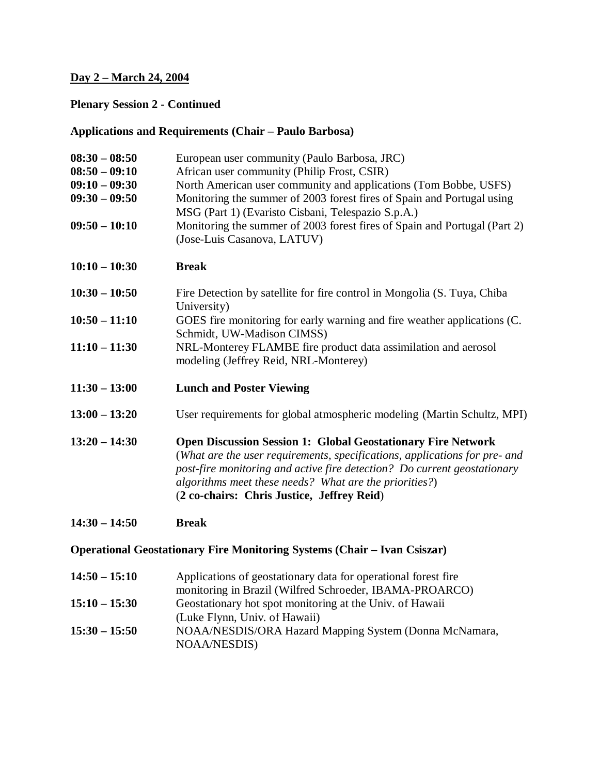### **Day 2 – March 24, 2004**

## **Plenary Session 2 - Continued**

## **Applications and Requirements (Chair – Paulo Barbosa)**

| $08:30 - 08:50$<br>$08:50 - 09:10$<br>$09:10 - 09:30$<br>$09:30 - 09:50$<br>$09:50 - 10:10$ | European user community (Paulo Barbosa, JRC)<br>African user community (Philip Frost, CSIR)<br>North American user community and applications (Tom Bobbe, USFS)<br>Monitoring the summer of 2003 forest fires of Spain and Portugal using<br>MSG (Part 1) (Evaristo Cisbani, Telespazio S.p.A.)<br>Monitoring the summer of 2003 forest fires of Spain and Portugal (Part 2)<br>(Jose-Luis Casanova, LATUV) |  |
|---------------------------------------------------------------------------------------------|-------------------------------------------------------------------------------------------------------------------------------------------------------------------------------------------------------------------------------------------------------------------------------------------------------------------------------------------------------------------------------------------------------------|--|
| $10:10 - 10:30$                                                                             | <b>Break</b>                                                                                                                                                                                                                                                                                                                                                                                                |  |
| $10:30 - 10:50$                                                                             | Fire Detection by satellite for fire control in Mongolia (S. Tuya, Chiba<br>University)                                                                                                                                                                                                                                                                                                                     |  |
| $10:50 - 11:10$                                                                             | GOES fire monitoring for early warning and fire weather applications (C.<br>Schmidt, UW-Madison CIMSS)                                                                                                                                                                                                                                                                                                      |  |
| $11:10 - 11:30$                                                                             | NRL-Monterey FLAMBE fire product data assimilation and aerosol<br>modeling (Jeffrey Reid, NRL-Monterey)                                                                                                                                                                                                                                                                                                     |  |
| $11:30 - 13:00$                                                                             | <b>Lunch and Poster Viewing</b>                                                                                                                                                                                                                                                                                                                                                                             |  |
| $13:00 - 13:20$                                                                             | User requirements for global atmospheric modeling (Martin Schultz, MPI)                                                                                                                                                                                                                                                                                                                                     |  |
| $13:20 - 14:30$                                                                             | <b>Open Discussion Session 1: Global Geostationary Fire Network</b><br>(What are the user requirements, specifications, applications for pre- and<br>post-fire monitoring and active fire detection? Do current geostationary<br>algorithms meet these needs? What are the priorities?)<br>(2 co-chairs: Chris Justice, Jeffrey Reid)                                                                       |  |
| $14:30 - 14:50$                                                                             | <b>Break</b>                                                                                                                                                                                                                                                                                                                                                                                                |  |
| <b>Operational Geostationary Fire Monitoring Systems (Chair – Ivan Csiszar)</b>             |                                                                                                                                                                                                                                                                                                                                                                                                             |  |
| $14:50 - 15:10$                                                                             | Applications of geostationary data for operational forest fire                                                                                                                                                                                                                                                                                                                                              |  |

monitoring in Brazil (Wilfred Schroeder, IBAMA-PROARCO) **15:10 – 15:30** Geostationary hot spot monitoring at the Univ. of Hawaii (Luke Flynn, Univ. of Hawaii) **15:30 – 15:50** NOAA/NESDIS/ORA Hazard Mapping System (Donna McNamara, NOAA/NESDIS)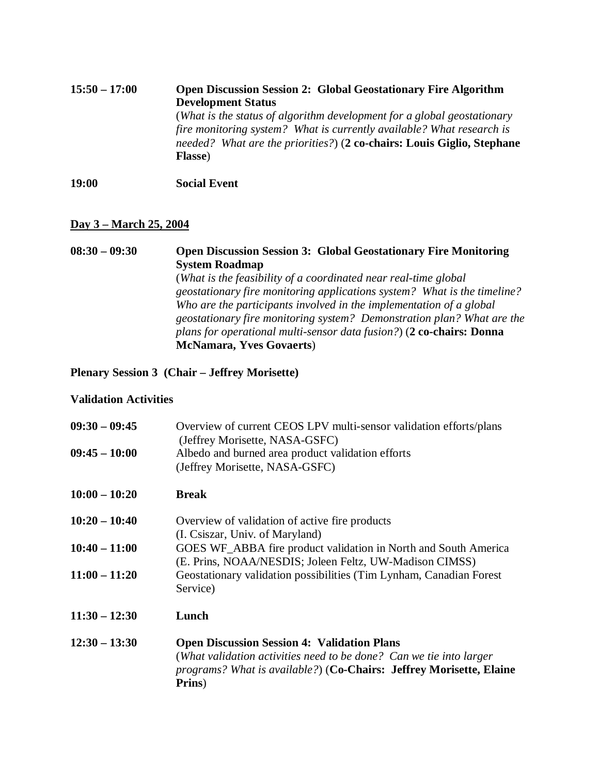## **15:50 – 17:00 Open Discussion Session 2: Global Geostationary Fire Algorithm Development Status** (*What is the status of algorithm development for a global geostationary fire monitoring system? What is currently available? What research is needed? What are the priorities?*) (**2 co-chairs: Louis Giglio, Stephane Flasse**)

**19:00 Social Event**

### **Day 3 – March 25, 2004**

**08:30 – 09:30 Open Discussion Session 3: Global Geostationary Fire Monitoring System Roadmap** (*What is the feasibility of a coordinated near real-time global geostationary fire monitoring applications system? What is the timeline? Who are the participants involved in the implementation of a global geostationary fire monitoring system? Demonstration plan? What are the plans for operational multi-sensor data fusion?*) (**2 co-chairs: Donna McNamara, Yves Govaerts**)

**Plenary Session 3 (Chair – Jeffrey Morisette)**

#### **Validation Activities**

| $09:30 - 09:45$ | Overview of current CEOS LPV multi-sensor validation efforts/plans<br>(Jeffrey Morisette, NASA-GSFC)                                                                                                       |
|-----------------|------------------------------------------------------------------------------------------------------------------------------------------------------------------------------------------------------------|
| $09:45 - 10:00$ | Albedo and burned area product validation efforts<br>(Jeffrey Morisette, NASA-GSFC)                                                                                                                        |
| $10:00 - 10:20$ | <b>Break</b>                                                                                                                                                                                               |
| $10:20 - 10:40$ | Overview of validation of active fire products<br>(I. Csiszar, Univ. of Maryland)                                                                                                                          |
| $10:40 - 11:00$ | GOES WF_ABBA fire product validation in North and South America<br>(E. Prins, NOAA/NESDIS; Joleen Feltz, UW-Madison CIMSS)                                                                                 |
| $11:00 - 11:20$ | Geostationary validation possibilities (Tim Lynham, Canadian Forest<br>Service)                                                                                                                            |
| $11:30 - 12:30$ | Lunch                                                                                                                                                                                                      |
| $12:30 - 13:30$ | <b>Open Discussion Session 4: Validation Plans</b><br>(What validation activities need to be done? Can we tie into larger<br>programs? What is available?) (Co-Chairs: Jeffrey Morisette, Elaine<br>Prins) |